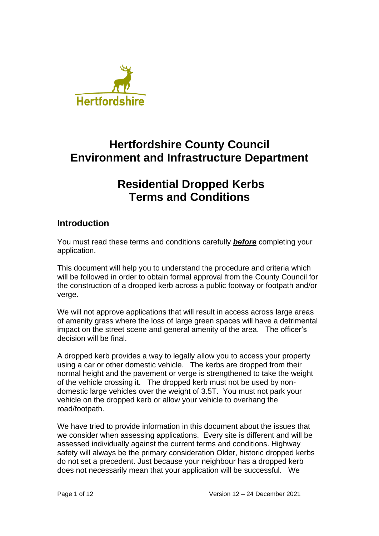

# **Hertfordshire County Council Environment and Infrastructure Department**

# **Residential Dropped Kerbs Terms and Conditions**

# **Introduction**

You must read these terms and conditions carefully *before* completing your application.

This document will help you to understand the procedure and criteria which will be followed in order to obtain formal approval from the County Council for the construction of a dropped kerb across a public footway or footpath and/or verge.

We will not approve applications that will result in access across large areas of amenity grass where the loss of large green spaces will have a detrimental impact on the street scene and general amenity of the area. The officer's decision will be final.

A dropped kerb provides a way to legally allow you to access your property using a car or other domestic vehicle. The kerbs are dropped from their normal height and the pavement or verge is strengthened to take the weight of the vehicle crossing it. The dropped kerb must not be used by nondomestic large vehicles over the weight of 3.5T. You must not park your vehicle on the dropped kerb or allow your vehicle to overhang the road/footpath.

We have tried to provide information in this document about the issues that we consider when assessing applications. Every site is different and will be assessed individually against the current terms and conditions. Highway safety will always be the primary consideration Older, historic dropped kerbs do not set a precedent. Just because your neighbour has a dropped kerb does not necessarily mean that your application will be successful. We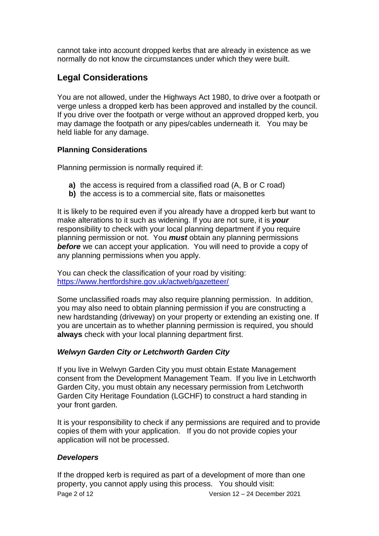cannot take into account dropped kerbs that are already in existence as we normally do not know the circumstances under which they were built.

# **Legal Considerations**

You are not allowed, under the Highways Act 1980, to drive over a footpath or verge unless a dropped kerb has been approved and installed by the council. If you drive over the footpath or verge without an approved dropped kerb, you may damage the footpath or any pipes/cables underneath it. You may be held liable for any damage.

# **Planning Considerations**

Planning permission is normally required if:

- **a)** the access is required from a classified road (A, B or C road)
- **b)** the access is to a commercial site, flats or maisonettes

It is likely to be required even if you already have a dropped kerb but want to make alterations to it such as widening. If you are not sure, it is *your* responsibility to check with your local planning department if you require planning permission or not. You *must* obtain any planning permissions **before** we can accept your application. You will need to provide a copy of any planning permissions when you apply.

You can check the classification of your road by visiting: <https://www.hertfordshire.gov.uk/actweb/gazetteer/>

Some unclassified roads may also require planning permission. In addition, you may also need to obtain planning permission if you are constructing a new hardstanding (driveway) on your property or extending an existing one. If you are uncertain as to whether planning permission is required, you should **always** check with your local planning department first.

# *Welwyn Garden City or Letchworth Garden City*

If you live in Welwyn Garden City you must obtain Estate Management consent from the Development Management Team. If you live in Letchworth Garden City, you must obtain any necessary permission from Letchworth Garden City Heritage Foundation (LGCHF) to construct a hard standing in your front garden.

It is your responsibility to check if any permissions are required and to provide copies of them with your application. If you do not provide copies your application will not be processed.

# *Developers*

Page 2 of 12 Version 12 – 24 December 2021 If the dropped kerb is required as part of a development of more than one property, you cannot apply using this process. You should visit: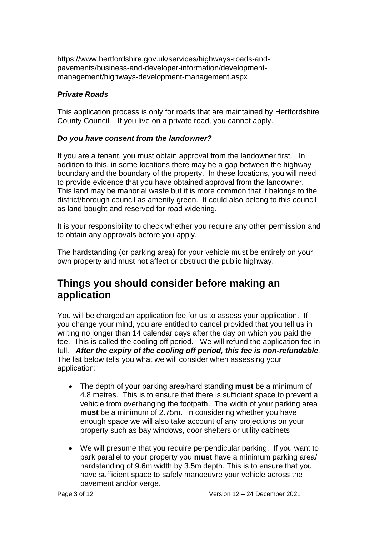https://www.hertfordshire.gov.uk/services/highways-roads-andpavements/business-and-developer-information/developmentmanagement/highways-development-management.aspx

# *Private Roads*

This application process is only for roads that are maintained by Hertfordshire County Council. If you live on a private road, you cannot apply.

#### *Do you have consent from the landowner?*

If you are a tenant, you must obtain approval from the landowner first. In addition to this, in some locations there may be a gap between the highway boundary and the boundary of the property. In these locations, you will need to provide evidence that you have obtained approval from the landowner. This land may be manorial waste but it is more common that it belongs to the district/borough council as amenity green. It could also belong to this council as land bought and reserved for road widening.

It is your responsibility to check whether you require any other permission and to obtain any approvals before you apply.

The hardstanding (or parking area) for your vehicle must be entirely on your own property and must not affect or obstruct the public highway.

# **Things you should consider before making an application**

You will be charged an application fee for us to assess your application. If you change your mind, you are entitled to cancel provided that you tell us in writing no longer than 14 calendar days after the day on which you paid the fee. This is called the cooling off period. We will refund the application fee in full. *After the expiry of the cooling off period, this fee is non-refundable.*  The list below tells you what we will consider when assessing your application:

- The depth of your parking area/hard standing **must** be a minimum of 4.8 metres. This is to ensure that there is sufficient space to prevent a vehicle from overhanging the footpath. The width of your parking area **must** be a minimum of 2.75m. In considering whether you have enough space we will also take account of any projections on your property such as bay windows, door shelters or utility cabinets
- We will presume that you require perpendicular parking. If you want to park parallel to your property you **must** have a minimum parking area/ hardstanding of 9.6m width by 3.5m depth. This is to ensure that you have sufficient space to safely manoeuvre your vehicle across the pavement and/or verge.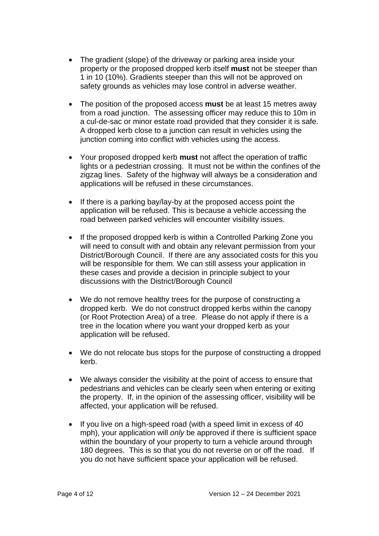- The gradient (slope) of the driveway or parking area inside your property or the proposed dropped kerb itself **must** not be steeper than 1 in 10 (10%). Gradients steeper than this will not be approved on safety grounds as vehicles may lose control in adverse weather.
- The position of the proposed access **must** be at least 15 metres away from a road junction. The assessing officer may reduce this to 10m in a cul-de-sac or minor estate road provided that they consider it is safe. A dropped kerb close to a junction can result in vehicles using the junction coming into conflict with vehicles using the access.
- Your proposed dropped kerb **must** not affect the operation of traffic lights or a pedestrian crossing. It must not be within the confines of the zigzag lines. Safety of the highway will always be a consideration and applications will be refused in these circumstances.
- If there is a parking bay/lay-by at the proposed access point the application will be refused. This is because a vehicle accessing the road between parked vehicles will encounter visibility issues.
- If the proposed dropped kerb is within a Controlled Parking Zone you will need to consult with and obtain any relevant permission from your District/Borough Council. If there are any associated costs for this you will be responsible for them. We can still assess your application in these cases and provide a decision in principle subject to your discussions with the District/Borough Council
- We do not remove healthy trees for the purpose of constructing a dropped kerb. We do not construct dropped kerbs within the canopy (or Root Protection Area) of a tree. Please do not apply if there is a tree in the location where you want your dropped kerb as your application will be refused.
- We do not relocate bus stops for the purpose of constructing a dropped kerb.
- We always consider the visibility at the point of access to ensure that pedestrians and vehicles can be clearly seen when entering or exiting the property. If, in the opinion of the assessing officer, visibility will be affected, your application will be refused.
- If you live on a high-speed road (with a speed limit in excess of 40 mph), your application will *only* be approved if there is sufficient space within the boundary of your property to turn a vehicle around through 180 degrees. This is so that you do not reverse on or off the road. If you do not have sufficient space your application will be refused.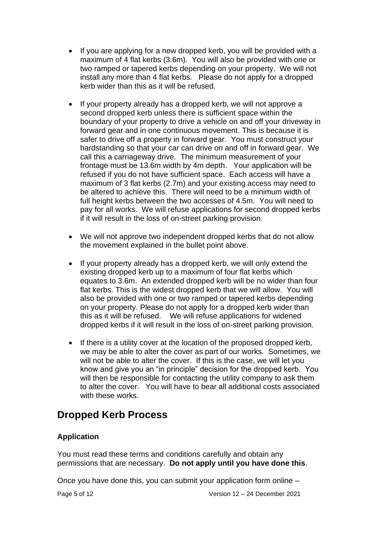- If you are applying for a new dropped kerb, you will be provided with a maximum of 4 flat kerbs (3.6m). You will also be provided with one or two ramped or tapered kerbs depending on your property. We will not install any more than 4 flat kerbs. Please do not apply for a dropped kerb wider than this as it will be refused.
- If your property already has a dropped kerb, we will not approve a second dropped kerb unless there is sufficient space within the boundary of your property to drive a vehicle on and off your driveway in forward gear and in one continuous movement. This is because it is safer to drive off a property in forward gear. You must construct your hardstanding so that your car can drive on and off in forward gear. We call this a carriageway drive. The minimum measurement of your frontage must be 13.6m width by 4m depth. Your application will be refused if you do not have sufficient space. Each access will have a maximum of 3 flat kerbs (2.7m) and your existing access may need to be altered to achieve this. There will need to be a minimum width of full height kerbs between the two accesses of 4.5m. You will need to pay for all works. We will refuse applications for second dropped kerbs if it will result in the loss of on-street parking provision.
- We will not approve two independent dropped kerbs that do not allow the movement explained in the bullet point above.
- If your property already has a dropped kerb, we will only extend the existing dropped kerb up to a maximum of four flat kerbs which equates to 3.6m. An extended dropped kerb will be no wider than four flat kerbs. This is the widest dropped kerb that we will allow. You will also be provided with one or two ramped or tapered kerbs depending on your property. Please do not apply for a dropped kerb wider than this as it will be refused. We will refuse applications for widened dropped kerbs if it will result in the loss of on-street parking provision.
- If there is a utility cover at the location of the proposed dropped kerb, we may be able to alter the cover as part of our works. Sometimes, we will not be able to alter the cover. If this is the case, we will let you know and give you an "in principle" decision for the dropped kerb. You will then be responsible for contacting the utility company to ask them to alter the cover. You will have to bear all additional costs associated with these works.

# **Dropped Kerb Process**

# **Application**

You must read these terms and conditions carefully and obtain any permissions that are necessary. **Do not apply until you have done this**.

Once you have done this, you can submit your application form online –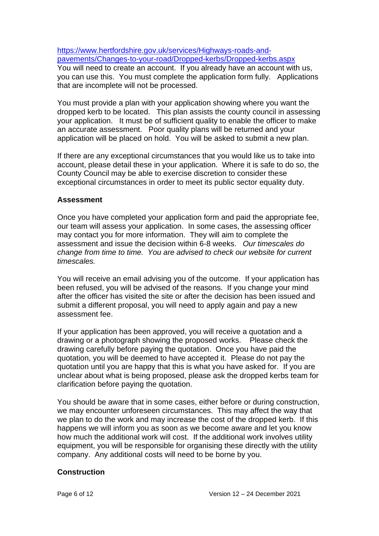[https://www.hertfordshire.gov.uk/services/Highways-roads-and](https://www.hertfordshire.gov.uk/services/Highways-roads-and-pavements/Changes-to-your-road/Dropped-kerbs/Dropped-kerbs.aspx)[pavements/Changes-to-your-road/Dropped-kerbs/Dropped-kerbs.aspx](https://www.hertfordshire.gov.uk/services/Highways-roads-and-pavements/Changes-to-your-road/Dropped-kerbs/Dropped-kerbs.aspx) You will need to create an account. If you already have an account with us, you can use this. You must complete the application form fully. Applications that are incomplete will not be processed.

You must provide a plan with your application showing where you want the dropped kerb to be located. This plan assists the county council in assessing your application. It must be of sufficient quality to enable the officer to make an accurate assessment. Poor quality plans will be returned and your application will be placed on hold. You will be asked to submit a new plan.

If there are any exceptional circumstances that you would like us to take into account, please detail these in your application. Where it is safe to do so, the County Council may be able to exercise discretion to consider these exceptional circumstances in order to meet its public sector equality duty.

#### **Assessment**

Once you have completed your application form and paid the appropriate fee, our team will assess your application. In some cases, the assessing officer may contact you for more information. They will aim to complete the assessment and issue the decision within 6-8 weeks. *Our timescales do change from time to time. You are advised to check our website for current timescales.*

You will receive an email advising you of the outcome. If your application has been refused, you will be advised of the reasons. If you change your mind after the officer has visited the site or after the decision has been issued and submit a different proposal, you will need to apply again and pay a new assessment fee.

If your application has been approved, you will receive a quotation and a drawing or a photograph showing the proposed works. Please check the drawing carefully before paying the quotation. Once you have paid the quotation, you will be deemed to have accepted it. Please do not pay the quotation until you are happy that this is what you have asked for. If you are unclear about what is being proposed, please ask the dropped kerbs team for clarification before paying the quotation.

You should be aware that in some cases, either before or during construction, we may encounter unforeseen circumstances. This may affect the way that we plan to do the work and may increase the cost of the dropped kerb. If this happens we will inform you as soon as we become aware and let you know how much the additional work will cost. If the additional work involves utility equipment, you will be responsible for organising these directly with the utility company. Any additional costs will need to be borne by you.

#### **Construction**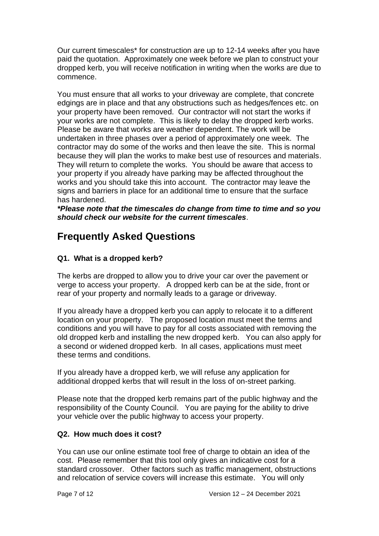Our current timescales\* for construction are up to 12-14 weeks after you have paid the quotation. Approximately one week before we plan to construct your dropped kerb, you will receive notification in writing when the works are due to commence.

You must ensure that all works to your driveway are complete, that concrete edgings are in place and that any obstructions such as hedges/fences etc. on your property have been removed. Our contractor will not start the works if your works are not complete. This is likely to delay the dropped kerb works. Please be aware that works are weather dependent. The work will be undertaken in three phases over a period of approximately one week. The contractor may do some of the works and then leave the site. This is normal because they will plan the works to make best use of resources and materials. They will return to complete the works. You should be aware that access to your property if you already have parking may be affected throughout the works and you should take this into account. The contractor may leave the signs and barriers in place for an additional time to ensure that the surface has hardened.

*\*Please note that the timescales do change from time to time and so you should check our website for the current timescales*.

# **Frequently Asked Questions**

# **Q1. What is a dropped kerb?**

The kerbs are dropped to allow you to drive your car over the pavement or verge to access your property. A dropped kerb can be at the side, front or rear of your property and normally leads to a garage or driveway.

If you already have a dropped kerb you can apply to relocate it to a different location on your property. The proposed location must meet the terms and conditions and you will have to pay for all costs associated with removing the old dropped kerb and installing the new dropped kerb. You can also apply for a second or widened dropped kerb. In all cases, applications must meet these terms and conditions.

If you already have a dropped kerb, we will refuse any application for additional dropped kerbs that will result in the loss of on-street parking.

Please note that the dropped kerb remains part of the public highway and the responsibility of the County Council. You are paying for the ability to drive your vehicle over the public highway to access your property.

# **Q2. How much does it cost?**

You can use our online estimate tool free of charge to obtain an idea of the cost. Please remember that this tool only gives an indicative cost for a standard crossover. Other factors such as traffic management, obstructions and relocation of service covers will increase this estimate. You will only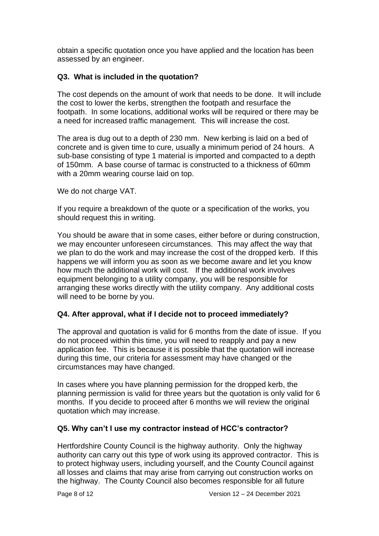obtain a specific quotation once you have applied and the location has been assessed by an engineer.

# **Q3. What is included in the quotation?**

The cost depends on the amount of work that needs to be done. It will include the cost to lower the kerbs, strengthen the footpath and resurface the footpath. In some locations, additional works will be required or there may be a need for increased traffic management. This will increase the cost.

The area is dug out to a depth of 230 mm. New kerbing is laid on a bed of concrete and is given time to cure, usually a minimum period of 24 hours. A sub-base consisting of type 1 material is imported and compacted to a depth of 150mm. A base course of tarmac is constructed to a thickness of 60mm with a 20mm wearing course laid on top.

We do not charge VAT.

If you require a breakdown of the quote or a specification of the works, you should request this in writing.

You should be aware that in some cases, either before or during construction, we may encounter unforeseen circumstances. This may affect the way that we plan to do the work and may increase the cost of the dropped kerb. If this happens we will inform you as soon as we become aware and let you know how much the additional work will cost. If the additional work involves equipment belonging to a utility company, you will be responsible for arranging these works directly with the utility company. Any additional costs will need to be borne by you.

# **Q4. After approval, what if I decide not to proceed immediately?**

The approval and quotation is valid for 6 months from the date of issue. If you do not proceed within this time, you will need to reapply and pay a new application fee. This is because it is possible that the quotation will increase during this time, our criteria for assessment may have changed or the circumstances may have changed.

In cases where you have planning permission for the dropped kerb, the planning permission is valid for three years but the quotation is only valid for 6 months. If you decide to proceed after 6 months we will review the original quotation which may increase.

# **Q5. Why can't I use my contractor instead of HCC's contractor?**

Hertfordshire County Council is the highway authority. Only the highway authority can carry out this type of work using its approved contractor. This is to protect highway users, including yourself, and the County Council against all losses and claims that may arise from carrying out construction works on the highway. The County Council also becomes responsible for all future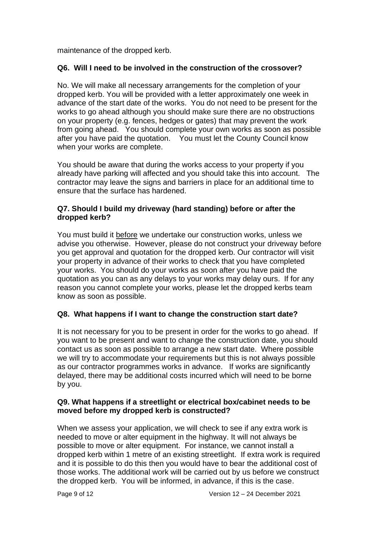maintenance of the dropped kerb.

#### **Q6. Will I need to be involved in the construction of the crossover?**

No. We will make all necessary arrangements for the completion of your dropped kerb. You will be provided with a letter approximately one week in advance of the start date of the works. You do not need to be present for the works to go ahead although you should make sure there are no obstructions on your property (e.g. fences, hedges or gates) that may prevent the work from going ahead. You should complete your own works as soon as possible after you have paid the quotation. You must let the County Council know when your works are complete.

You should be aware that during the works access to your property if you already have parking will affected and you should take this into account. The contractor may leave the signs and barriers in place for an additional time to ensure that the surface has hardened.

#### **Q7. Should I build my driveway (hard standing) before or after the dropped kerb?**

You must build it before we undertake our construction works, unless we advise you otherwise. However, please do not construct your driveway before you get approval and quotation for the dropped kerb. Our contractor will visit your property in advance of their works to check that you have completed your works. You should do your works as soon after you have paid the quotation as you can as any delays to your works may delay ours. If for any reason you cannot complete your works, please let the dropped kerbs team know as soon as possible.

#### **Q8. What happens if I want to change the construction start date?**

It is not necessary for you to be present in order for the works to go ahead. If you want to be present and want to change the construction date, you should contact us as soon as possible to arrange a new start date. Where possible we will try to accommodate your requirements but this is not always possible as our contractor programmes works in advance. If works are significantly delayed, there may be additional costs incurred which will need to be borne by you.

#### **Q9. What happens if a streetlight or electrical box/cabinet needs to be moved before my dropped kerb is constructed?**

When we assess your application, we will check to see if any extra work is needed to move or alter equipment in the highway. It will not always be possible to move or alter equipment. For instance, we cannot install a dropped kerb within 1 metre of an existing streetlight. If extra work is required and it is possible to do this then you would have to bear the additional cost of those works. The additional work will be carried out by us before we construct the dropped kerb. You will be informed, in advance, if this is the case.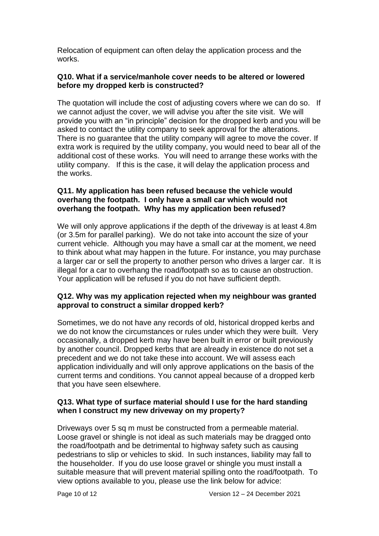Relocation of equipment can often delay the application process and the works.

#### **Q10. What if a service/manhole cover needs to be altered or lowered before my dropped kerb is constructed?**

The quotation will include the cost of adjusting covers where we can do so. If we cannot adjust the cover, we will advise you after the site visit. We will provide you with an "in principle" decision for the dropped kerb and you will be asked to contact the utility company to seek approval for the alterations. There is no guarantee that the utility company will agree to move the cover. If extra work is required by the utility company, you would need to bear all of the additional cost of these works. You will need to arrange these works with the utility company. If this is the case, it will delay the application process and the works.

#### **Q11. My application has been refused because the vehicle would overhang the footpath. I only have a small car which would not overhang the footpath. Why has my application been refused?**

We will only approve applications if the depth of the driveway is at least 4.8m (or 3.5m for parallel parking). We do not take into account the size of your current vehicle. Although you may have a small car at the moment, we need to think about what may happen in the future. For instance, you may purchase a larger car or sell the property to another person who drives a larger car. It is illegal for a car to overhang the road/footpath so as to cause an obstruction. Your application will be refused if you do not have sufficient depth.

#### **Q12. Why was my application rejected when my neighbour was granted approval to construct a similar dropped kerb?**

Sometimes, we do not have any records of old, historical dropped kerbs and we do not know the circumstances or rules under which they were built. Very occasionally, a dropped kerb may have been built in error or built previously by another council. Dropped kerbs that are already in existence do not set a precedent and we do not take these into account. We will assess each application individually and will only approve applications on the basis of the current terms and conditions. You cannot appeal because of a dropped kerb that you have seen elsewhere.

#### **Q13. What type of surface material should I use for the hard standing when I construct my new driveway on my property?**

Driveways over 5 sq m must be constructed from a permeable material. Loose gravel or shingle is not ideal as such materials may be dragged onto the road/footpath and be detrimental to highway safety such as causing pedestrians to slip or vehicles to skid. In such instances, liability may fall to the householder. If you do use loose gravel or shingle you must install a suitable measure that will prevent material spilling onto the road/footpath. To view options available to you, please use the link below for advice: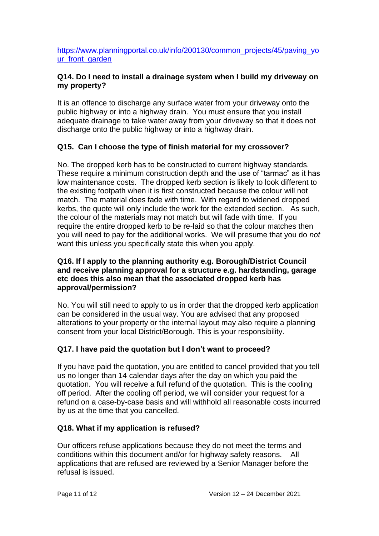[https://www.planningportal.co.uk/info/200130/common\\_projects/45/paving\\_yo](https://www.planningportal.co.uk/info/200130/common_projects/45/paving_your_front_garden) [ur\\_front\\_garden](https://www.planningportal.co.uk/info/200130/common_projects/45/paving_your_front_garden)

# **Q14. Do I need to install a drainage system when I build my driveway on my property?**

It is an offence to discharge any surface water from your driveway onto the public highway or into a highway drain. You must ensure that you install adequate drainage to take water away from your driveway so that it does not discharge onto the public highway or into a highway drain.

# **Q15. Can I choose the type of finish material for my crossover?**

No. The dropped kerb has to be constructed to current highway standards. These require a minimum construction depth and the use of "tarmac" as it has low maintenance costs. The dropped kerb section is likely to look different to the existing footpath when it is first constructed because the colour will not match. The material does fade with time. With regard to widened dropped kerbs, the quote will only include the work for the extended section. As such, the colour of the materials may not match but will fade with time. If you require the entire dropped kerb to be re-laid so that the colour matches then you will need to pay for the additional works. We will presume that you do *not*  want this unless you specifically state this when you apply.

#### **Q16. If I apply to the planning authority e.g. Borough/District Council and receive planning approval for a structure e.g. hardstanding, garage etc does this also mean that the associated dropped kerb has approval/permission?**

No. You will still need to apply to us in order that the dropped kerb application can be considered in the usual way. You are advised that any proposed alterations to your property or the internal layout may also require a planning consent from your local District/Borough. This is your responsibility.

# **Q17. I have paid the quotation but I don't want to proceed?**

If you have paid the quotation, you are entitled to cancel provided that you tell us no longer than 14 calendar days after the day on which you paid the quotation. You will receive a full refund of the quotation. This is the cooling off period. After the cooling off period, we will consider your request for a refund on a case-by-case basis and will withhold all reasonable costs incurred by us at the time that you cancelled.

# **Q18. What if my application is refused?**

Our officers refuse applications because they do not meet the terms and conditions within this document and/or for highway safety reasons. All applications that are refused are reviewed by a Senior Manager before the refusal is issued.